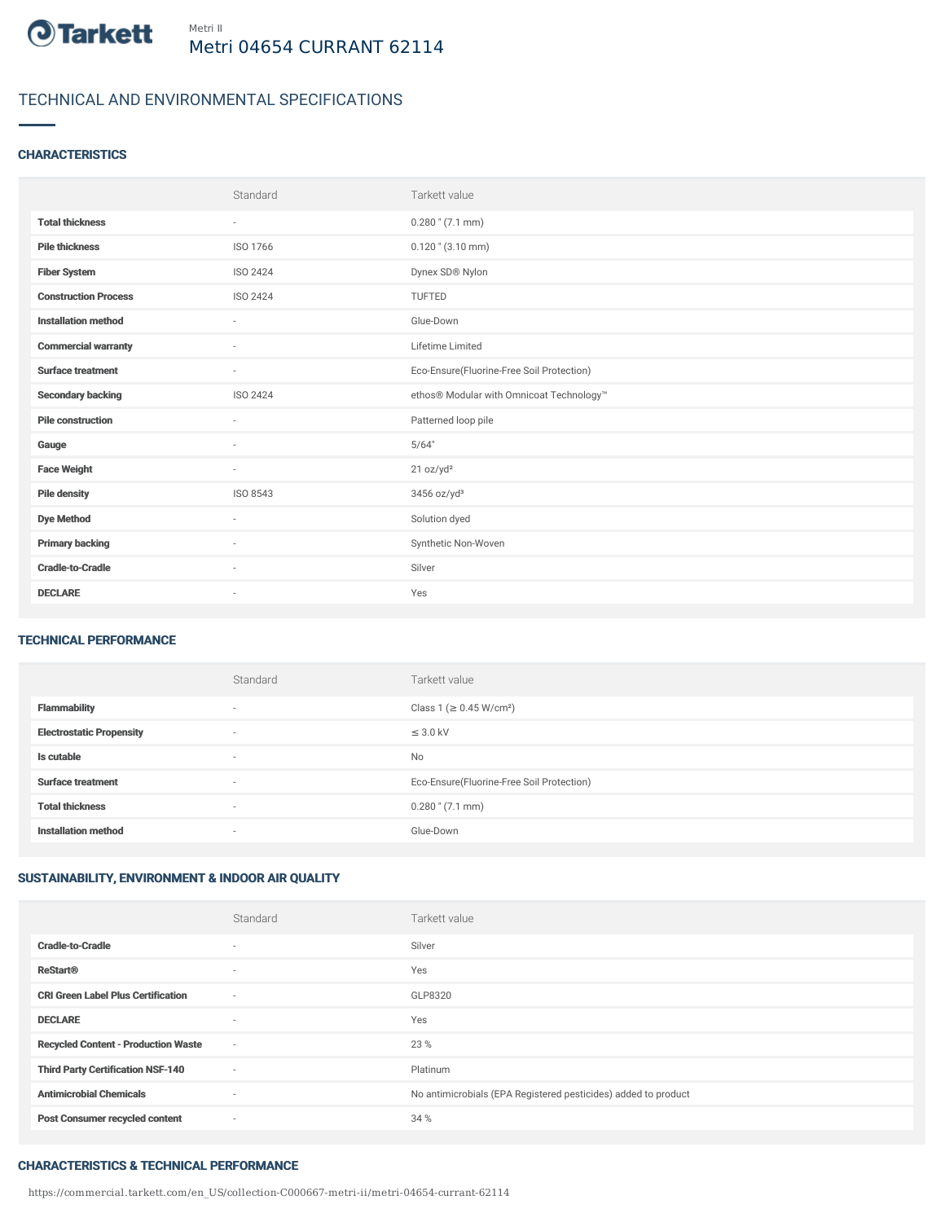

# TECHNICAL AND ENVIRONMENTAL SPECIFICATIONS

### **CHARACTERISTICS**

|                             | Standard                 | Tarkett value                             |
|-----------------------------|--------------------------|-------------------------------------------|
| <b>Total thickness</b>      | $\sim$                   | $0.280$ " $(7.1$ mm)                      |
| <b>Pile thickness</b>       | ISO 1766                 | $0.120$ " $(3.10$ mm)                     |
| <b>Fiber System</b>         | <b>ISO 2424</b>          | Dynex SD® Nylon                           |
| <b>Construction Process</b> | ISO 2424                 | <b>TUFTED</b>                             |
| <b>Installation method</b>  | $\sim$                   | Glue-Down                                 |
| <b>Commercial warranty</b>  | ٠                        | Lifetime Limited                          |
| <b>Surface treatment</b>    | $\sim$                   | Eco-Ensure(Fluorine-Free Soil Protection) |
| <b>Secondary backing</b>    | ISO 2424                 | ethos® Modular with Omnicoat Technology™  |
| <b>Pile construction</b>    | $\sim$                   | Patterned loop pile                       |
| Gauge                       | ٠                        | 5/64"                                     |
| <b>Face Weight</b>          | $\sim$                   | 21 oz/yd <sup>2</sup>                     |
| <b>Pile density</b>         | ISO 8543                 | 3456 oz/yd <sup>3</sup>                   |
| <b>Dye Method</b>           | ٠                        | Solution dyed                             |
| <b>Primary backing</b>      | ٠                        | Synthetic Non-Woven                       |
| <b>Cradle-to-Cradle</b>     | ٠                        | Silver                                    |
| <b>DECLARE</b>              | $\overline{\phantom{a}}$ | Yes                                       |

### TECHNICAL PERFORMANCE

|                                 | Standard                 | Tarkett value                             |
|---------------------------------|--------------------------|-------------------------------------------|
| <b>Flammability</b>             | $\overline{\phantom{a}}$ | Class 1 (≥ 0.45 W/cm <sup>2</sup> )       |
| <b>Electrostatic Propensity</b> | $\overline{\phantom{a}}$ | $\leq$ 3.0 kV                             |
| Is cutable                      | $\overline{\phantom{a}}$ | <b>No</b>                                 |
| <b>Surface treatment</b>        | $\overline{\phantom{a}}$ | Eco-Ensure(Fluorine-Free Soil Protection) |
| <b>Total thickness</b>          | $\overline{\phantom{a}}$ | $0.280$ " $(7.1$ mm)                      |
| <b>Installation method</b>      | $\overline{\phantom{a}}$ | Glue-Down                                 |

## SUSTAINABILITY, ENVIRONMENT & INDOOR AIR QUALITY

|                                            | Standard                 | Tarkett value                                                  |
|--------------------------------------------|--------------------------|----------------------------------------------------------------|
| <b>Cradle-to-Cradle</b>                    | $\overline{\phantom{a}}$ | Silver                                                         |
| <b>ReStart®</b>                            | $\overline{\phantom{a}}$ | Yes                                                            |
| <b>CRI Green Label Plus Certification</b>  | $\sim$                   | GLP8320                                                        |
| <b>DECLARE</b>                             | $\overline{\phantom{a}}$ | Yes                                                            |
| <b>Recycled Content - Production Waste</b> | $\sim$                   | 23 %                                                           |
| <b>Third Party Certification NSF-140</b>   | $\sim$                   | Platinum                                                       |
| <b>Antimicrobial Chemicals</b>             | $\sim$                   | No antimicrobials (EPA Registered pesticides) added to product |
| <b>Post Consumer recycled content</b>      | $\sim$                   | 34 %                                                           |

#### CHARACTERISTICS & TECHNICAL PERFORMANCE